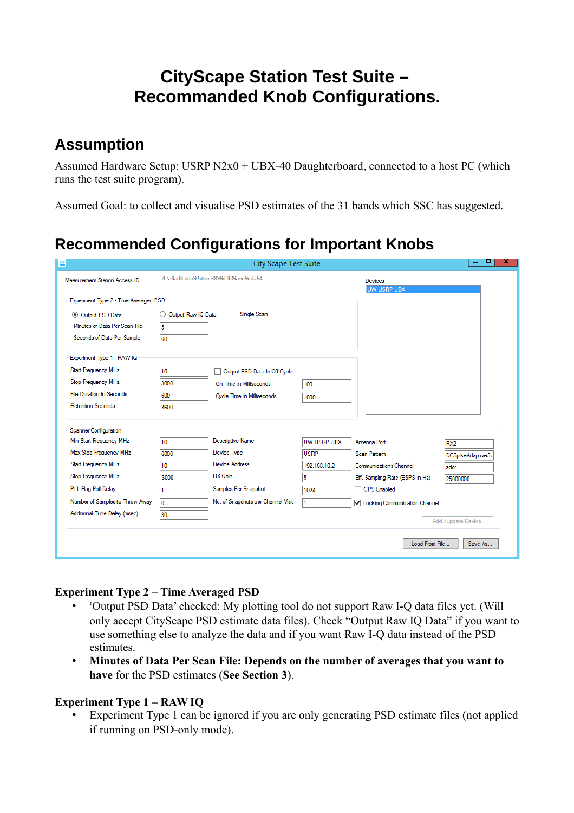# **CityScape Station Test Suite – Recommanded Knob Configurations.**

## **Assumption**

Assumed Hardware Setup: USRP N2x0 + UBX-40 Daughterboard, connected to a host PC (which runs the test suite program).

Assumed Goal: to collect and visualise PSD estimates of the 31 bands which SSC has suggested.

# **Recommended Configurations for Important Knobs**

| 쁘                                     |                         | <b>City Scape Test Suite</b>          |              |                                 | o<br>x             |
|---------------------------------------|-------------------------|---------------------------------------|--------------|---------------------------------|--------------------|
| Measurement Station Access ID         |                         | 7f7a9ad8-dda9-54be-8899d-939ace9eda94 |              | Devices<br><b>UW USRP UBX</b>   |                    |
| Experiment Type 2 - Time Averaged PSD |                         |                                       |              |                                 |                    |
| O Output PSD Data                     | Output Raw IQ Data<br>O | Single Scan                           |              |                                 |                    |
| Minutes of Data Per Scan File         | 5                       |                                       |              |                                 |                    |
| Seconds of Data Per Sample            | 60                      |                                       |              |                                 |                    |
| Experiment Type 1 - RAW IQ            |                         |                                       |              |                                 |                    |
| Start Frequency MHz                   | 10                      | Output PSD Data In Off Cycle          |              |                                 |                    |
| Stop Frequency MHz                    | 3000                    | On Time In Milliseconds               | 100          |                                 |                    |
| <b>File Duration In Seconds</b>       | 600                     | Cycle Time In Milliseconds            | 1000         |                                 |                    |
| <b>Retention Seconds</b>              | 3600                    |                                       |              |                                 |                    |
| <b>Scanner Configuration</b>          |                         |                                       |              |                                 |                    |
| Min Start Frequency MHz               | 10 <sup>10</sup>        | <b>Descriptive Name</b>               | UW USRP UBX  | Antenna Port                    | RX <sub>2</sub>    |
| Max Stop Frequency MHz                | 6000                    | Device Type                           | <b>USRP</b>  | Scan Pattern                    | DCSpikeAdaptiveSc  |
| Start Frequency MHz                   | 10                      | <b>Device Address</b>                 | 192.168.10.2 | <b>Communications Channel</b>   | addr               |
| Stop Frequency MHz                    | 3000                    | <b>RX</b> Gain                        | 5            | Eff. Sampling Rate (ESPS In Hz) | 25000000           |
| PLL Flag Poll Delay                   |                         | Samples Per Snapshot                  | 1024         | GPS Enabled                     |                    |
| Number of Samples to Throw Away       | ١o                      | No. of Snapshots per Channel Visit    | 1            | ✔ Locking Communication Channel |                    |
| Additional Tune Delay (msec)          | 30                      |                                       |              |                                 | Add /Update Device |
| Load From File<br>Save As             |                         |                                       |              |                                 |                    |

### **Experiment Type 2 – Time Averaged PSD**

- 'Output PSD Data' checked: My plotting tool do not support Raw I-Q data files yet. (Will only accept CityScape PSD estimate data files). Check "Output Raw IQ Data" if you want to use something else to analyze the data and if you want Raw I-Q data instead of the PSD estimates.
- **Minutes of Data Per Scan File: Depends on the number of averages that you want to have** for the PSD estimates (**See Section 3**).

### **Experiment Type 1 – RAW IQ**

• Experiment Type 1 can be ignored if you are only generating PSD estimate files (not applied if running on PSD-only mode).